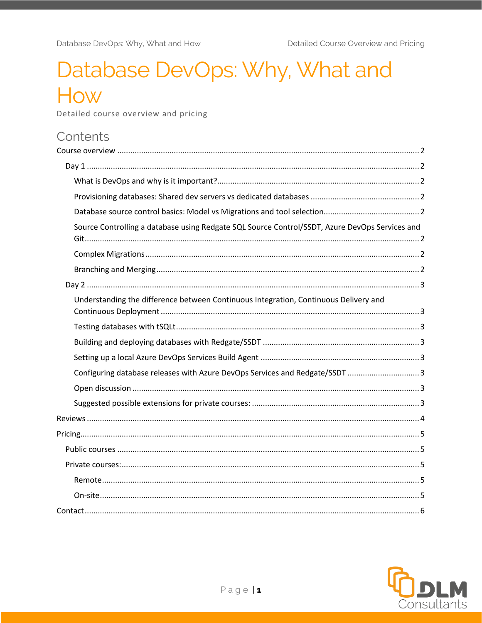# Database DevOps: Why, What and How

Detailed course overview and pricing

# Contents

| Source Controlling a database using Redgate SQL Source Control/SSDT, Azure DevOps Services and |
|------------------------------------------------------------------------------------------------|
|                                                                                                |
|                                                                                                |
|                                                                                                |
| Understanding the difference between Continuous Integration, Continuous Delivery and           |
|                                                                                                |
|                                                                                                |
|                                                                                                |
| Configuring database releases with Azure DevOps Services and Redgate/SSDT 3                    |
|                                                                                                |
|                                                                                                |
|                                                                                                |
|                                                                                                |
|                                                                                                |
|                                                                                                |
|                                                                                                |
|                                                                                                |
|                                                                                                |

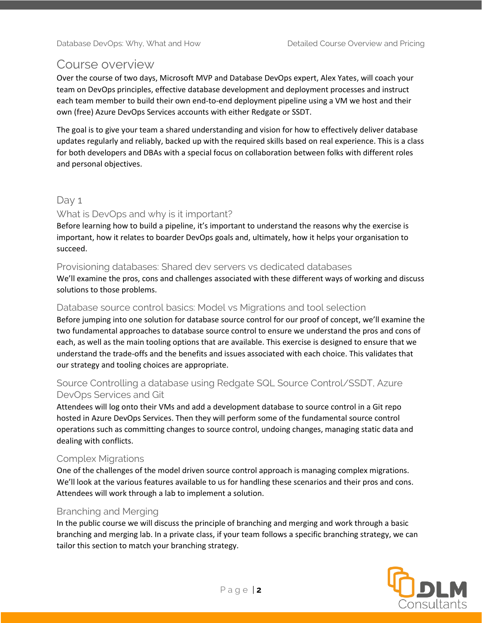## <span id="page-1-0"></span>Course overview

Over the course of two days, Microsoft MVP and Database DevOps expert, Alex Yates, will coach your team on DevOps principles, effective database development and deployment processes and instruct each team member to build their own end-to-end deployment pipeline using a VM we host and their own (free) Azure DevOps Services accounts with either Redgate or SSDT.

The goal is to give your team a shared understanding and vision for how to effectively deliver database updates regularly and reliably, backed up with the required skills based on real experience. This is a class for both developers and DBAs with a special focus on collaboration between folks with different roles and personal objectives.

## <span id="page-1-1"></span>Day 1

#### <span id="page-1-2"></span>What is DevOps and why is it important?

Before learning how to build a pipeline, it's important to understand the reasons why the exercise is important, how it relates to boarder DevOps goals and, ultimately, how it helps your organisation to succeed.

#### <span id="page-1-3"></span>Provisioning databases: Shared dev servers vs dedicated databases

We'll examine the pros, cons and challenges associated with these different ways of working and discuss solutions to those problems.

#### <span id="page-1-4"></span>Database source control basics: Model vs Migrations and tool selection

Before jumping into one solution for database source control for our proof of concept, we'll examine the two fundamental approaches to database source control to ensure we understand the pros and cons of each, as well as the main tooling options that are available. This exercise is designed to ensure that we understand the trade-offs and the benefits and issues associated with each choice. This validates that our strategy and tooling choices are appropriate.

## <span id="page-1-5"></span>Source Controlling a database using Redgate SQL Source Control/SSDT, Azure DevOps Services and Git

Attendees will log onto their VMs and add a development database to source control in a Git repo hosted in Azure DevOps Services. Then they will perform some of the fundamental source control operations such as committing changes to source control, undoing changes, managing static data and dealing with conflicts.

#### <span id="page-1-6"></span>Complex Migrations

One of the challenges of the model driven source control approach is managing complex migrations. We'll look at the various features available to us for handling these scenarios and their pros and cons. Attendees will work through a lab to implement a solution.

#### <span id="page-1-7"></span>Branching and Merging

In the public course we will discuss the principle of branching and merging and work through a basic branching and merging lab. In a private class, if your team follows a specific branching strategy, we can tailor this section to match your branching strategy.

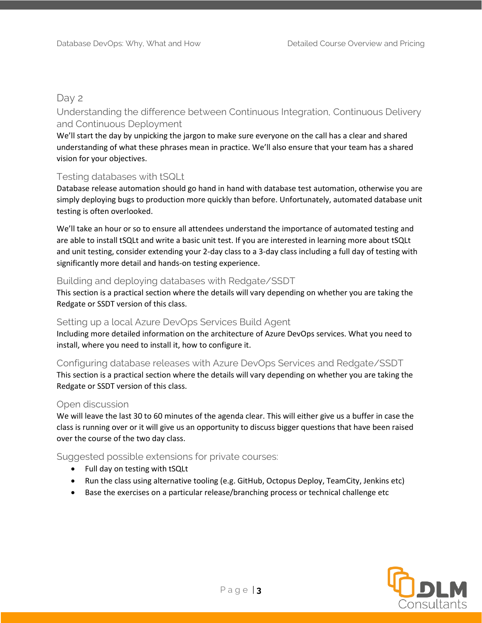## <span id="page-2-0"></span>Day 2

## <span id="page-2-1"></span>Understanding the difference between Continuous Integration, Continuous Delivery and Continuous Deployment

We'll start the day by unpicking the jargon to make sure everyone on the call has a clear and shared understanding of what these phrases mean in practice. We'll also ensure that your team has a shared vision for your objectives.

#### <span id="page-2-2"></span>Testing databases with tSQLt

Database release automation should go hand in hand with database test automation, otherwise you are simply deploying bugs to production more quickly than before. Unfortunately, automated database unit testing is often overlooked.

We'll take an hour or so to ensure all attendees understand the importance of automated testing and are able to install tSQLt and write a basic unit test. If you are interested in learning more about tSQLt and unit testing, consider extending your 2-day class to a 3-day class including a full day of testing with significantly more detail and hands-on testing experience.

#### <span id="page-2-3"></span>Building and deploying databases with Redgate/SSDT

This section is a practical section where the details will vary depending on whether you are taking the Redgate or SSDT version of this class.

#### <span id="page-2-4"></span>Setting up a local Azure DevOps Services Build Agent

Including more detailed information on the architecture of Azure DevOps services. What you need to install, where you need to install it, how to configure it.

<span id="page-2-5"></span>Configuring database releases with Azure DevOps Services and Redgate/SSDT This section is a practical section where the details will vary depending on whether you are taking the Redgate or SSDT version of this class.

#### <span id="page-2-6"></span>Open discussion

We will leave the last 30 to 60 minutes of the agenda clear. This will either give us a buffer in case the class is running over or it will give us an opportunity to discuss bigger questions that have been raised over the course of the two day class.

#### <span id="page-2-7"></span>Suggested possible extensions for private courses:

- Full day on testing with tSQLt
- Run the class using alternative tooling (e.g. GitHub, Octopus Deploy, TeamCity, Jenkins etc)
- Base the exercises on a particular release/branching process or technical challenge etc

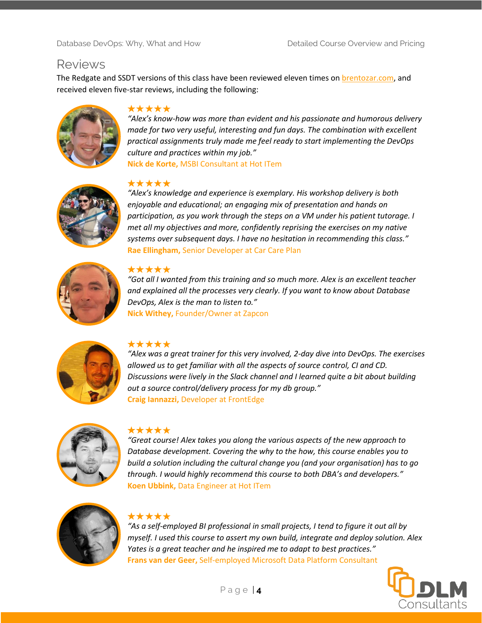## <span id="page-3-0"></span>Reviews

The Redgate and SSDT versions of this class have been reviewed eleven times on **brentozar.com**, and received eleven five-star reviews, including the following:



#### \*\*\*\*\*

*"Alex's know-how was more than evident and his passionate and humorous delivery made for two very useful, interesting and fun days. The combination with excellent practical assignments truly made me feel ready to start implementing the DevOps culture and practices within my job."* **Nick de Korte,** MSBI Consultant at Hot ITem



#### \*\*\*\*\*

*"Alex's knowledge and experience is exemplary. His workshop delivery is both enjoyable and educational; an engaging mix of presentation and hands on participation, as you work through the steps on a VM under his patient tutorage. I met all my objectives and more, confidently reprising the exercises on my native systems over subsequent days. I have no hesitation in recommending this class."* **Rae Ellingham,** Senior Developer at Car Care Plan



#### \*\*\*\*\*

*"Got all I wanted from this training and so much more. Alex is an excellent teacher and explained all the processes very clearly. If you want to know about Database DevOps, Alex is the man to listen to."* **Nick Withey,** Founder/Owner at Zapcon



#### \*\*\*\*\*

*"Alex was a great trainer for this very involved, 2-day dive into DevOps. The exercises allowed us to get familiar with all the aspects of source control, CI and CD. Discussions were lively in the Slack channel and I learned quite a bit about building out a source control/delivery process for my db group."* **Craig Iannazzi,** Developer at FrontEdge



#### \*\*\*\*\*

*"Great course! Alex takes you along the various aspects of the new approach to Database development. Covering the why to the how, this course enables you to build a solution including the cultural change you (and your organisation) has to go through. I would highly recommend this course to both DBA's and developers."* **Koen Ubbink,** Data Engineer at Hot ITem



#### \*\*\*\*\*

*"As a self-employed BI professional in small projects, I tend to figure it out all by myself. I used this course to assert my own build, integrate and deploy solution. Alex Yates is a great teacher and he inspired me to adapt to best practices."* **Frans van der Geer,** Self-employed Microsoft Data Platform Consultant

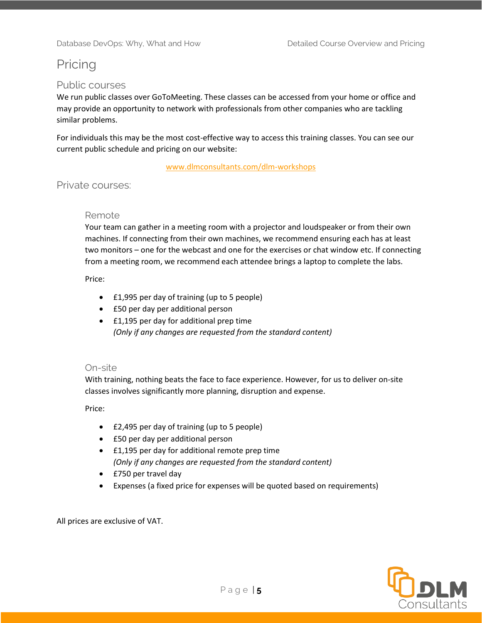# <span id="page-4-0"></span>Pricing

#### <span id="page-4-1"></span>Public courses

We run public classes over GoToMeeting. These classes can be accessed from your home or office and may provide an opportunity to network with professionals from other companies who are tackling similar problems.

For individuals this may be the most cost-effective way to access this training classes. You can see our current public schedule and pricing on our website:

[www.dlmconsultants.com/dlm-workshops](http://www.dlmconsultants.com/dlm-workshops)

#### <span id="page-4-3"></span><span id="page-4-2"></span>Private courses:

#### Remote

Your team can gather in a meeting room with a projector and loudspeaker or from their own machines. If connecting from their own machines, we recommend ensuring each has at least two monitors – one for the webcast and one for the exercises or chat window etc. If connecting from a meeting room, we recommend each attendee brings a laptop to complete the labs.

Price:

- £1,995 per day of training (up to 5 people)
- £50 per day per additional person
- £1,195 per day for additional prep time *(Only if any changes are requested from the standard content)*

#### <span id="page-4-4"></span>On-site

With training, nothing beats the face to face experience. However, for us to deliver on-site classes involves significantly more planning, disruption and expense.

Price:

- £2,495 per day of training (up to 5 people)
- £50 per day per additional person
- £1,195 per day for additional remote prep time *(Only if any changes are requested from the standard content)*
- £750 per travel day
- Expenses (a fixed price for expenses will be quoted based on requirements)

All prices are exclusive of VAT.